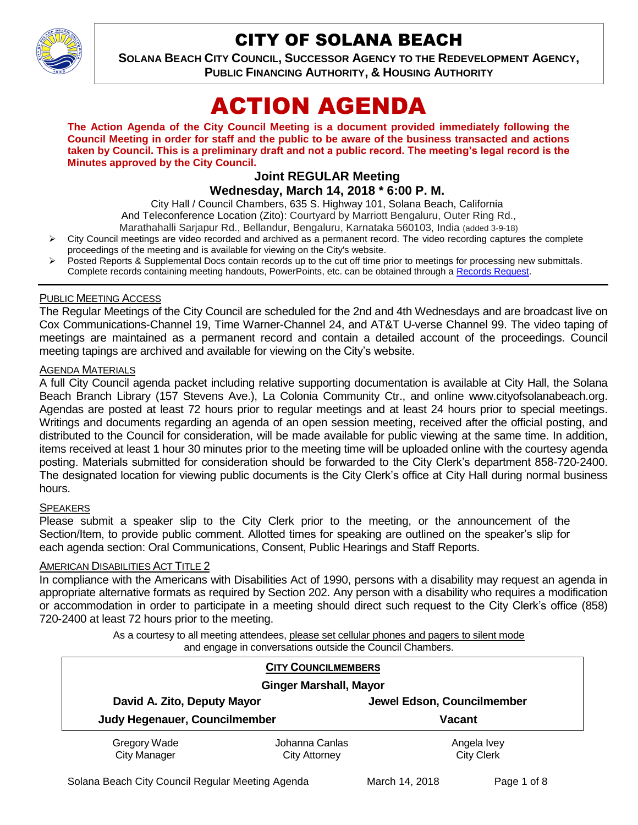

## CITY OF SOLANA BEACH

**SOLANA BEACH CITY COUNCIL, SUCCESSOR AGENCY TO THE REDEVELOPMENT AGENCY, PUBLIC FINANCING AUTHORITY, & HOUSING AUTHORITY** 

# ACTION AGENDA

**The Action Agenda of the City Council Meeting is a document provided immediately following the Council Meeting in order for staff and the public to be aware of the business transacted and actions taken by Council. This is a preliminary draft and not a public record. The meeting's legal record is the Minutes approved by the City Council.**

## **Joint REGULAR Meeting Wednesday, March 14, 2018 \* 6:00 P. M.**

City Hall / Council Chambers, 635 S. Highway 101, Solana Beach, California

And Teleconference Location (Zito): Courtyard by Marriott Bengaluru, Outer Ring Rd.,

- Marathahalli Sarjapur Rd., Bellandur, Bengaluru, Karnataka 560103, India (added 3-9-18)
- City Council meetings are video recorded and archived as a permanent record. The video recording captures the complete proceedings of the meeting and is available for viewing on the City's website.
- Posted Reports & Supplemental Docs contain records up to the cut off time prior to meetings for processing new submittals. Complete records containing meeting handouts, PowerPoints, etc. can be obtained through a [Records Request.](http://www.ci.solana-beach.ca.us/index.asp?SEC=F5D45D10-70CE-4291-A27C-7BD633FC6742&Type=B_BASIC)

#### PUBLIC MEETING ACCESS

The Regular Meetings of the City Council are scheduled for the 2nd and 4th Wednesdays and are broadcast live on Cox Communications-Channel 19, Time Warner-Channel 24, and AT&T U-verse Channel 99. The video taping of meetings are maintained as a permanent record and contain a detailed account of the proceedings. Council meeting tapings are archived and available for viewing on the City's website.

#### **AGENDA MATERIALS**

A full City Council agenda packet including relative supporting documentation is available at City Hall, the Solana Beach Branch Library (157 Stevens Ave.), La Colonia Community Ctr., and online www.cityofsolanabeach.org. Agendas are posted at least 72 hours prior to regular meetings and at least 24 hours prior to special meetings. Writings and documents regarding an agenda of an open session meeting, received after the official posting, and distributed to the Council for consideration, will be made available for public viewing at the same time. In addition, items received at least 1 hour 30 minutes prior to the meeting time will be uploaded online with the courtesy agenda posting. Materials submitted for consideration should be forwarded to the City Clerk's department 858-720-2400. The designated location for viewing public documents is the City Clerk's office at City Hall during normal business hours.

#### **SPEAKERS**

Please submit a speaker slip to the City Clerk prior to the meeting, or the announcement of the Section/Item, to provide public comment. Allotted times for speaking are outlined on the speaker's slip for each agenda section: Oral Communications, Consent, Public Hearings and Staff Reports.

#### **AMERICAN DISABILITIES ACT TITLE 2**

In compliance with the Americans with Disabilities Act of 1990, persons with a disability may request an agenda in appropriate alternative formats as required by Section 202. Any person with a disability who requires a modification or accommodation in order to participate in a meeting should direct such request to the City Clerk's office (858) 720-2400 at least 72 hours prior to the meeting.

> As a courtesy to all meeting attendees, please set cellular phones and pagers to silent mode and engage in conversations outside the Council Chambers.

|                                                              | <b>CITY COUNCILMEMBERS</b> |                            |  |
|--------------------------------------------------------------|----------------------------|----------------------------|--|
| <b>Ginger Marshall, Mayor</b>                                |                            |                            |  |
| David A. Zito, Deputy Mayor<br>Judy Hegenauer, Councilmember |                            | Jewel Edson, Councilmember |  |
|                                                              |                            | <b>Vacant</b>              |  |
| Gregory Wade                                                 | Johanna Canlas             | Angela Ivey                |  |
| <b>City Manager</b>                                          | <b>City Attorney</b>       | <b>City Clerk</b>          |  |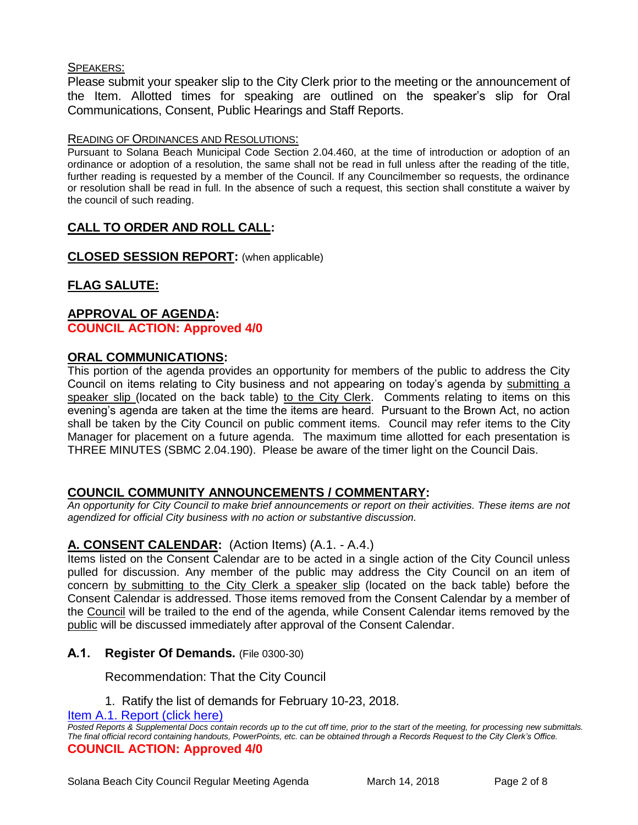#### SPEAKERS:

Please submit your speaker slip to the City Clerk prior to the meeting or the announcement of the Item. Allotted times for speaking are outlined on the speaker's slip for Oral Communications, Consent, Public Hearings and Staff Reports.

#### READING OF ORDINANCES AND RESOLUTIONS:

Pursuant to Solana Beach Municipal Code Section 2.04.460, at the time of introduction or adoption of an ordinance or adoption of a resolution, the same shall not be read in full unless after the reading of the title, further reading is requested by a member of the Council. If any Councilmember so requests, the ordinance or resolution shall be read in full. In the absence of such a request, this section shall constitute a waiver by the council of such reading.

## **CALL TO ORDER AND ROLL CALL:**

**CLOSED SESSION REPORT:** (when applicable)

## **FLAG SALUTE:**

#### **APPROVAL OF AGENDA: COUNCIL ACTION: Approved 4/0**

#### **ORAL COMMUNICATIONS:**

This portion of the agenda provides an opportunity for members of the public to address the City Council on items relating to City business and not appearing on today's agenda by submitting a speaker slip (located on the back table) to the City Clerk. Comments relating to items on this evening's agenda are taken at the time the items are heard. Pursuant to the Brown Act, no action shall be taken by the City Council on public comment items. Council may refer items to the City Manager for placement on a future agenda. The maximum time allotted for each presentation is THREE MINUTES (SBMC 2.04.190). Please be aware of the timer light on the Council Dais.

## **COUNCIL COMMUNITY ANNOUNCEMENTS / COMMENTARY:**

*An opportunity for City Council to make brief announcements or report on their activities. These items are not agendized for official City business with no action or substantive discussion.* 

## **A. CONSENT CALENDAR:** (Action Items) (A.1. - A.4.)

Items listed on the Consent Calendar are to be acted in a single action of the City Council unless pulled for discussion. Any member of the public may address the City Council on an item of concern by submitting to the City Clerk a speaker slip (located on the back table) before the Consent Calendar is addressed. Those items removed from the Consent Calendar by a member of the Council will be trailed to the end of the agenda, while Consent Calendar items removed by the public will be discussed immediately after approval of the Consent Calendar.

## **A.1. Register Of Demands.** (File 0300-30)

Recommendation: That the City Council

1. Ratify the list of demands for February 10-23, 2018.

[Item A.1. Report \(click here\)](https://solanabeach.govoffice3.com/vertical/Sites/%7B840804C2-F869-4904-9AE3-720581350CE7%7D/uploads/Item_A.1._Report_(click_here)_-_3-14-18.PDF)

*Posted Reports & Supplemental Docs contain records up to the cut off time, prior to the start of the meeting, for processing new submittals. The final official record containing handouts, PowerPoints, etc. can be obtained through a Records Request to the City Clerk's Office.* **COUNCIL ACTION: Approved 4/0**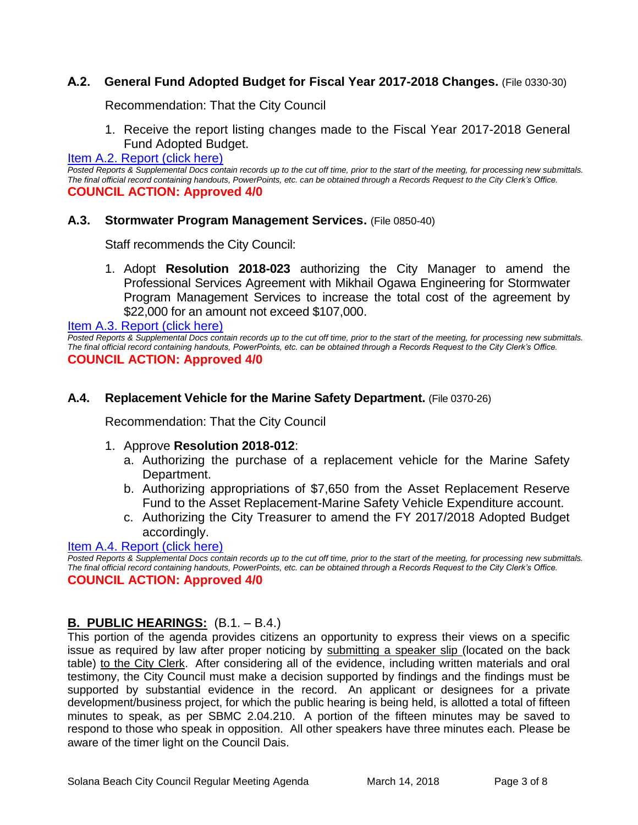## **A.2. General Fund Adopted Budget for Fiscal Year 2017-2018 Changes.** (File 0330-30)

Recommendation: That the City Council

1. Receive the report listing changes made to the Fiscal Year 2017-2018 General Fund Adopted Budget.

#### [Item A.2. Report \(click here\)](https://solanabeach.govoffice3.com/vertical/Sites/%7B840804C2-F869-4904-9AE3-720581350CE7%7D/uploads/Item_A.2._Report_(click_here)_-_3-14-18.PDF)

*Posted Reports & Supplemental Docs contain records up to the cut off time, prior to the start of the meeting, for processing new submittals. The final official record containing handouts, PowerPoints, etc. can be obtained through a Records Request to the City Clerk's Office.* **COUNCIL ACTION: Approved 4/0**

#### **A.3. Stormwater Program Management Services.** (File 0850-40)

Staff recommends the City Council:

1. Adopt **Resolution 2018-023** authorizing the City Manager to amend the Professional Services Agreement with Mikhail Ogawa Engineering for Stormwater Program Management Services to increase the total cost of the agreement by \$22,000 for an amount not exceed \$107,000.

[Item A.3. Report \(click here\)](https://solanabeach.govoffice3.com/vertical/Sites/%7B840804C2-F869-4904-9AE3-720581350CE7%7D/uploads/Item_A.3._Report_(click_here)_-_3-14-18.PDF)

*Posted Reports & Supplemental Docs contain records up to the cut off time, prior to the start of the meeting, for processing new submittals. The final official record containing handouts, PowerPoints, etc. can be obtained through a Records Request to the City Clerk's Office.* **COUNCIL ACTION: Approved 4/0**

#### **A.4. Replacement Vehicle for the Marine Safety Department.** (File 0370-26)

Recommendation: That the City Council

#### 1. Approve **Resolution 2018-012**:

- a. Authorizing the purchase of a replacement vehicle for the Marine Safety Department.
- b. Authorizing appropriations of \$7,650 from the Asset Replacement Reserve Fund to the Asset Replacement-Marine Safety Vehicle Expenditure account.
- c. Authorizing the City Treasurer to amend the FY 2017/2018 Adopted Budget accordingly.

#### Item A.4. [Report \(click here\)](https://solanabeach.govoffice3.com/vertical/Sites/%7B840804C2-F869-4904-9AE3-720581350CE7%7D/uploads/Item_A.4._Report_(click_here)_-_3-14-18.PDF)

*Posted Reports & Supplemental Docs contain records up to the cut off time, prior to the start of the meeting, for processing new submittals. The final official record containing handouts, PowerPoints, etc. can be obtained through a Records Request to the City Clerk's Office.* **COUNCIL ACTION: Approved 4/0**

## **B. PUBLIC HEARINGS:** (B.1. – B.4.)

This portion of the agenda provides citizens an opportunity to express their views on a specific issue as required by law after proper noticing by submitting a speaker slip (located on the back table) to the City Clerk. After considering all of the evidence, including written materials and oral testimony, the City Council must make a decision supported by findings and the findings must be supported by substantial evidence in the record. An applicant or designees for a private development/business project, for which the public hearing is being held, is allotted a total of fifteen minutes to speak, as per SBMC 2.04.210. A portion of the fifteen minutes may be saved to respond to those who speak in opposition. All other speakers have three minutes each. Please be aware of the timer light on the Council Dais.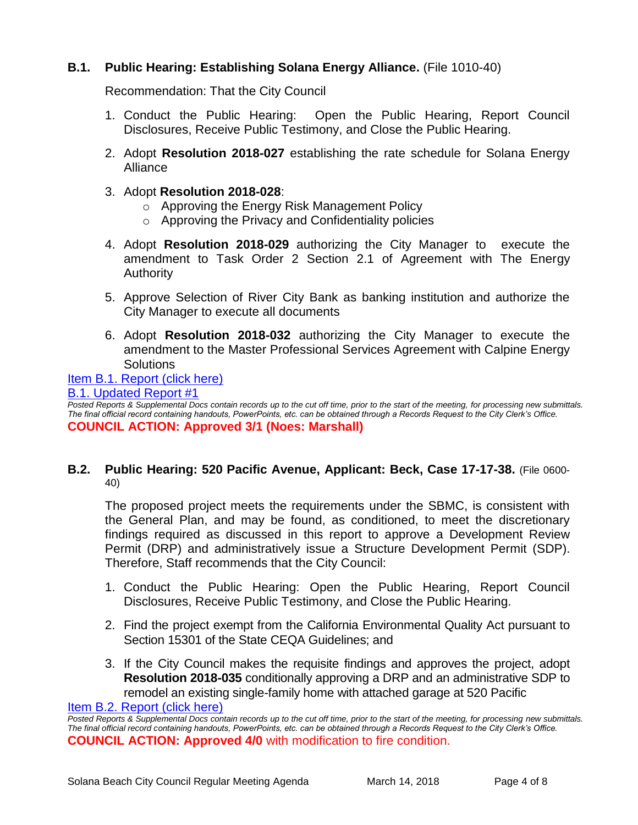## **B.1. Public Hearing: Establishing Solana Energy Alliance.** (File 1010-40)

Recommendation: That the City Council

- 1. Conduct the Public Hearing: Open the Public Hearing, Report Council Disclosures, Receive Public Testimony, and Close the Public Hearing.
- 2. Adopt **Resolution 2018-027** establishing the rate schedule for Solana Energy Alliance
- 3. Adopt **Resolution 2018-028**:
	- o Approving the Energy Risk Management Policy
	- o Approving the Privacy and Confidentiality policies
- 4. Adopt **Resolution 2018-029** authorizing the City Manager to execute the amendment to Task Order 2 Section 2.1 of Agreement with The Energy Authority
- 5. Approve Selection of River City Bank as banking institution and authorize the City Manager to execute all documents
- 6. Adopt **Resolution 2018-032** authorizing the City Manager to execute the amendment to the Master Professional Services Agreement with Calpine Energy **Solutions**

#### [Item B.1. Report \(click here\)](https://solanabeach.govoffice3.com/vertical/Sites/%7B840804C2-F869-4904-9AE3-720581350CE7%7D/uploads/Item_B.1._Report_(click_here)_-_3-14-18.PDF)

#### [B.1. Updated Report #1](https://solanabeach.govoffice3.com/vertical/Sites/%7B840804C2-F869-4904-9AE3-720581350CE7%7D/uploads/B.1._Updated_Report_1_-_03-14-18.pdf)

*Posted Reports & Supplemental Docs contain records up to the cut off time, prior to the start of the meeting, for processing new submittals. The final official record containing handouts, PowerPoints, etc. can be obtained through a Records Request to the City Clerk's Office.* **COUNCIL ACTION: Approved 3/1 (Noes: Marshall)**

#### **B.2. Public Hearing: 520 Pacific Avenue, Applicant: Beck, Case 17-17-38.** (File 0600- 40)

The proposed project meets the requirements under the SBMC, is consistent with the General Plan, and may be found, as conditioned, to meet the discretionary findings required as discussed in this report to approve a Development Review Permit (DRP) and administratively issue a Structure Development Permit (SDP). Therefore, Staff recommends that the City Council:

- 1. Conduct the Public Hearing: Open the Public Hearing, Report Council Disclosures, Receive Public Testimony, and Close the Public Hearing.
- 2. Find the project exempt from the California Environmental Quality Act pursuant to Section 15301 of the State CEQA Guidelines; and
- 3. If the City Council makes the requisite findings and approves the project, adopt **Resolution 2018-035** conditionally approving a DRP and an administrative SDP to remodel an existing single-family home with attached garage at 520 Pacific

[Item B.2. Report \(click here\)](https://solanabeach.govoffice3.com/vertical/Sites/%7B840804C2-F869-4904-9AE3-720581350CE7%7D/uploads/Item_B.2._Report_(click_here)_-_3-14-18.PDF)

*Posted Reports & Supplemental Docs contain records up to the cut off time, prior to the start of the meeting, for processing new submittals. The final official record containing handouts, PowerPoints, etc. can be obtained through a Records Request to the City Clerk's Office.* **COUNCIL ACTION: Approved 4/0** with modification to fire condition.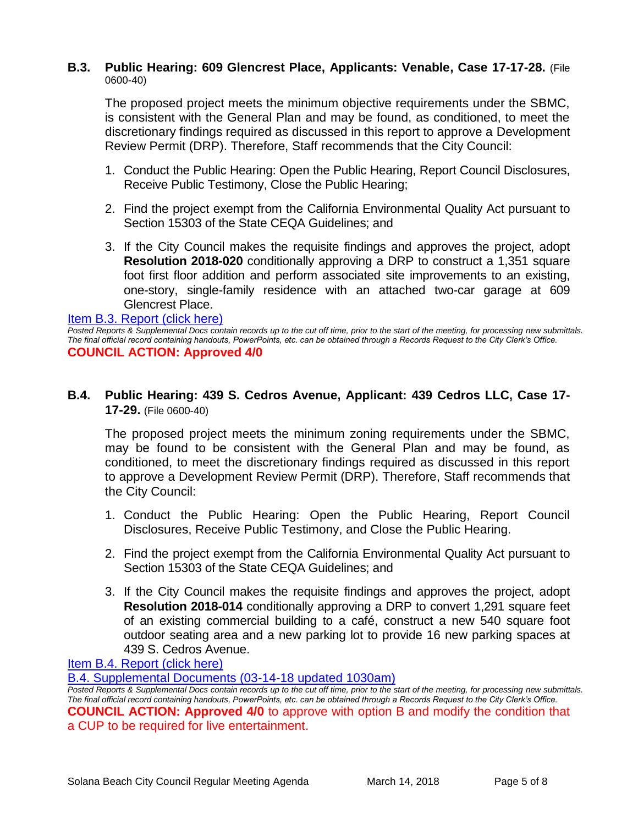#### **B.3. Public Hearing: 609 Glencrest Place, Applicants: Venable, Case 17-17-28.** (File 0600-40)

The proposed project meets the minimum objective requirements under the SBMC, is consistent with the General Plan and may be found, as conditioned, to meet the discretionary findings required as discussed in this report to approve a Development Review Permit (DRP). Therefore, Staff recommends that the City Council:

- 1. Conduct the Public Hearing: Open the Public Hearing, Report Council Disclosures, Receive Public Testimony, Close the Public Hearing;
- 2. Find the project exempt from the California Environmental Quality Act pursuant to Section 15303 of the State CEQA Guidelines; and
- 3. If the City Council makes the requisite findings and approves the project, adopt **Resolution 2018-020** conditionally approving a DRP to construct a 1,351 square foot first floor addition and perform associated site improvements to an existing, one-story, single-family residence with an attached two-car garage at 609 Glencrest Place.

#### [Item B.3. Report \(click here\)](https://solanabeach.govoffice3.com/vertical/Sites/%7B840804C2-F869-4904-9AE3-720581350CE7%7D/uploads/Item_B.3._Report_(click_here)_-_3-14-18.PDF)

*Posted Reports & Supplemental Docs contain records up to the cut off time, prior to the start of the meeting, for processing new submittals. The final official record containing handouts, PowerPoints, etc. can be obtained through a Records Request to the City Clerk's Office.* **COUNCIL ACTION: Approved 4/0**

## **B.4. Public Hearing: 439 S. Cedros Avenue, Applicant: 439 Cedros LLC, Case 17- 17-29.** (File 0600-40)

The proposed project meets the minimum zoning requirements under the SBMC, may be found to be consistent with the General Plan and may be found, as conditioned, to meet the discretionary findings required as discussed in this report to approve a Development Review Permit (DRP). Therefore, Staff recommends that the City Council:

- 1. Conduct the Public Hearing: Open the Public Hearing, Report Council Disclosures, Receive Public Testimony, and Close the Public Hearing.
- 2. Find the project exempt from the California Environmental Quality Act pursuant to Section 15303 of the State CEQA Guidelines; and
- 3. If the City Council makes the requisite findings and approves the project, adopt **Resolution 2018-014** conditionally approving a DRP to convert 1,291 square feet of an existing commercial building to a café, construct a new 540 square foot outdoor seating area and a new parking lot to provide 16 new parking spaces at 439 S. Cedros Avenue.

[Item B.4. Report \(click here\)](https://solanabeach.govoffice3.com/vertical/Sites/%7B840804C2-F869-4904-9AE3-720581350CE7%7D/uploads/Item_B.4._Report_(click_here)_-_3-14-18_.PDF)

[B.4. Supplemental Documents \(03-14-18 updated 1030am\)](https://solanabeach.govoffice3.com/vertical/Sites/%7B840804C2-F869-4904-9AE3-720581350CE7%7D/uploads/B.4.a._McGarry_-_03-14-18_(1030am)_-_R.PDF)

*Posted Reports & Supplemental Docs contain records up to the cut off time, prior to the start of the meeting, for processing new submittals. The final official record containing handouts, PowerPoints, etc. can be obtained through a Records Request to the City Clerk's Office.* **COUNCIL ACTION: Approved 4/0** to approve with option B and modify the condition that a CUP to be required for live entertainment.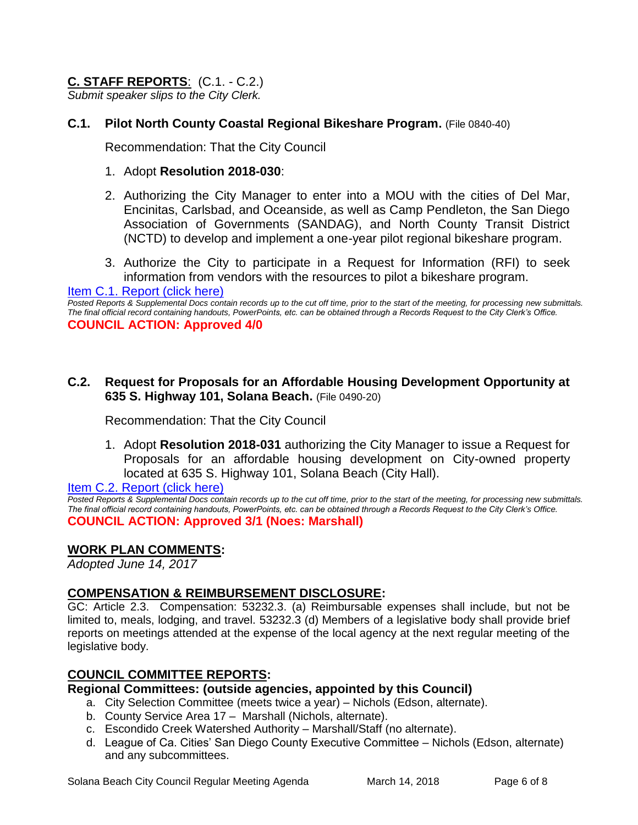## **C. STAFF REPORTS**: (C.1. - C.2.)

*Submit speaker slips to the City Clerk.*

## **C.1. Pilot North County Coastal Regional Bikeshare Program.** (File 0840-40)

Recommendation: That the City Council

#### 1. Adopt **Resolution 2018-030**:

- 2. Authorizing the City Manager to enter into a MOU with the cities of Del Mar, Encinitas, Carlsbad, and Oceanside, as well as Camp Pendleton, the San Diego Association of Governments (SANDAG), and North County Transit District (NCTD) to develop and implement a one-year pilot regional bikeshare program.
- 3. Authorize the City to participate in a Request for Information (RFI) to seek information from vendors with the resources to pilot a bikeshare program.

[Item C.1. Report \(click here\)](https://solanabeach.govoffice3.com/vertical/Sites/%7B840804C2-F869-4904-9AE3-720581350CE7%7D/uploads/Item_C.1._Report_(click_here)_-_3-14-18.PDF)

*Posted Reports & Supplemental Docs contain records up to the cut off time, prior to the start of the meeting, for processing new submittals. The final official record containing handouts, PowerPoints, etc. can be obtained through a Records Request to the City Clerk's Office.* **COUNCIL ACTION: Approved 4/0**

#### **C.2. Request for Proposals for an Affordable Housing Development Opportunity at 635 S. Highway 101, Solana Beach.** (File 0490-20)

Recommendation: That the City Council

1. Adopt **Resolution 2018-031** authorizing the City Manager to issue a Request for Proposals for an affordable housing development on City-owned property located at 635 S. Highway 101, Solana Beach (City Hall).

[Item C.2. Report \(click here\)](https://solanabeach.govoffice3.com/vertical/Sites/%7B840804C2-F869-4904-9AE3-720581350CE7%7D/uploads/Item_C.2._Report_(click_here)_-_3-14-18.PDF)

*Posted Reports & Supplemental Docs contain records up to the cut off time, prior to the start of the meeting, for processing new submittals. The final official record containing handouts, PowerPoints, etc. can be obtained through a Records Request to the City Clerk's Office.* **COUNCIL ACTION: Approved 3/1 (Noes: Marshall)**

#### **WORK PLAN COMMENTS:**

*Adopted June 14, 2017*

## **COMPENSATION & REIMBURSEMENT DISCLOSURE:**

GC: Article 2.3. Compensation: 53232.3. (a) Reimbursable expenses shall include, but not be limited to, meals, lodging, and travel. 53232.3 (d) Members of a legislative body shall provide brief reports on meetings attended at the expense of the local agency at the next regular meeting of the legislative body.

## **COUNCIL COMMITTEE REPORTS:**

## **Regional Committees: (outside agencies, appointed by this Council)**

- a. City Selection Committee (meets twice a year) Nichols (Edson, alternate).
- b. County Service Area 17 Marshall (Nichols, alternate).
- c. Escondido Creek Watershed Authority Marshall/Staff (no alternate).
- d. League of Ca. Cities' San Diego County Executive Committee Nichols (Edson, alternate) and any subcommittees.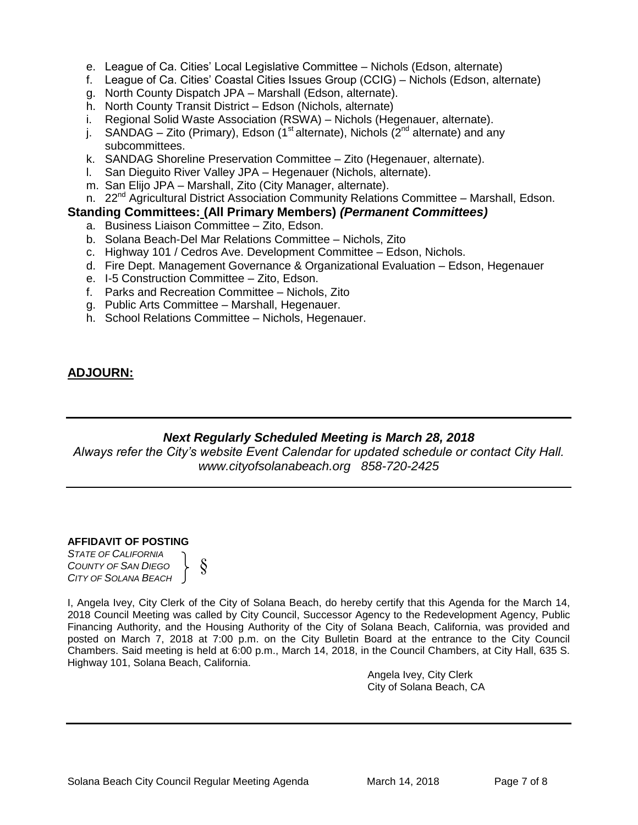- e. League of Ca. Cities' Local Legislative Committee Nichols (Edson, alternate)
- f. League of Ca. Cities' Coastal Cities Issues Group (CCIG) Nichols (Edson, alternate)
- g. North County Dispatch JPA Marshall (Edson, alternate).
- h. North County Transit District Edson (Nichols, alternate)
- i. Regional Solid Waste Association (RSWA) Nichols (Hegenauer, alternate).
- j. SANDAG Zito (Primary), Edson (1<sup>st</sup> alternate), Nichols (2<sup>nd</sup> alternate) and any subcommittees.
- k. SANDAG Shoreline Preservation Committee Zito (Hegenauer, alternate).
- l. San Dieguito River Valley JPA Hegenauer (Nichols, alternate).
- m. San Elijo JPA Marshall, Zito (City Manager, alternate).
- n. 22<sup>nd</sup> Agricultural District Association Community Relations Committee Marshall, Edson.

#### **Standing Committees: (All Primary Members)** *(Permanent Committees)*

- a. Business Liaison Committee Zito, Edson.
- b. Solana Beach-Del Mar Relations Committee Nichols, Zito
- c. Highway 101 / Cedros Ave. Development Committee Edson, Nichols.
- d. Fire Dept. Management Governance & Organizational Evaluation Edson, Hegenauer
- e. I-5 Construction Committee Zito, Edson.
- f. Parks and Recreation Committee Nichols, Zito
- g. Public Arts Committee Marshall, Hegenauer.
- h. School Relations Committee Nichols, Hegenauer.

## **ADJOURN:**

## *Next Regularly Scheduled Meeting is March 28, 2018*

*Always refer the City's website Event Calendar for updated schedule or contact City Hall. www.cityofsolanabeach.org 858-720-2425*

#### **AFFIDAVIT OF POSTING**

*STATE OF CALIFORNIA COUNTY OF SAN DIEGO CITY OF SOLANA BEACH*



I, Angela Ivey, City Clerk of the City of Solana Beach, do hereby certify that this Agenda for the March 14, 2018 Council Meeting was called by City Council, Successor Agency to the Redevelopment Agency, Public Financing Authority, and the Housing Authority of the City of Solana Beach, California, was provided and posted on March 7, 2018 at 7:00 p.m. on the City Bulletin Board at the entrance to the City Council Chambers. Said meeting is held at 6:00 p.m., March 14, 2018, in the Council Chambers, at City Hall, 635 S. Highway 101, Solana Beach, California.

> Angela Ivey, City Clerk City of Solana Beach, CA